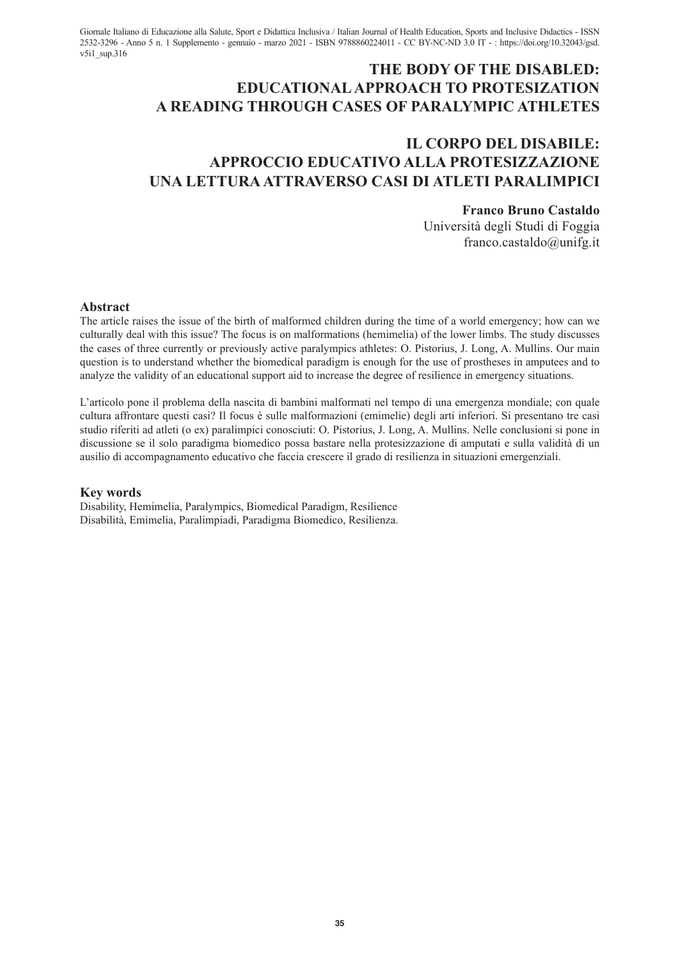Giornale Italiano di Educazione alla Salute, Sport e Didattica Inclusiva / Italian Journal of Health Education, Sports and Inclusive Didactics - ISSN 2532-3296 - Anno 5 n. 1 Supplemento - gennaio - marzo 2021 - ISBN 9788860224011 - CC BY-NC-ND 3.0 IT - : https://doi.org/10.32043/gsd. v5i1\_sup.316

# **THE BODY OF THE DISABLED: EDUCATIONAL APPROACH TO PROTESIZATION A READING THROUGH CASES OF PARALYMPIC ATHLETES**

# **IL CORPO DEL DISABILE: APPROCCIO EDUCATIVO ALLA PROTESIZZAZIONE UNA LETTURA ATTRAVERSO CASI DI ATLETI PARALIMPICI**

### **Franco Bruno Castaldo**

Università degli Studi di Foggia franco.castaldo@unifg.it

#### **Abstract**

The article raises the issue of the birth of malformed children during the time of a world emergency; how can we culturally deal with this issue? The focus is on malformations (hemimelia) of the lower limbs. The study discusses the cases of three currently or previously active paralympics athletes: O. Pistorius, J. Long, A. Mullins. Our main question is to understand whether the biomedical paradigm is enough for the use of prostheses in amputees and to analyze the validity of an educational support aid to increase the degree of resilience in emergency situations.

L'articolo pone il problema della nascita di bambini malformati nel tempo di una emergenza mondiale; con quale cultura affrontare questi casi? Il focus è sulle malformazioni (emimelie) degli arti inferiori. Si presentano tre casi studio riferiti ad atleti (o ex) paralimpici conosciuti: O. Pistorius, J. Long, A. Mullins. Nelle conclusioni si pone in discussione se il solo paradigma biomedico possa bastare nella protesizzazione di amputati e sulla validità di un ausilio di accompagnamento educativo che faccia crescere il grado di resilienza in situazioni emergenziali.

#### **Key words**

Disability, Hemimelia, Paralympics, Biomedical Paradigm, Resilience Disabilità, Emimelia, Paralimpiadi, Paradigma Biomedico, Resilienza.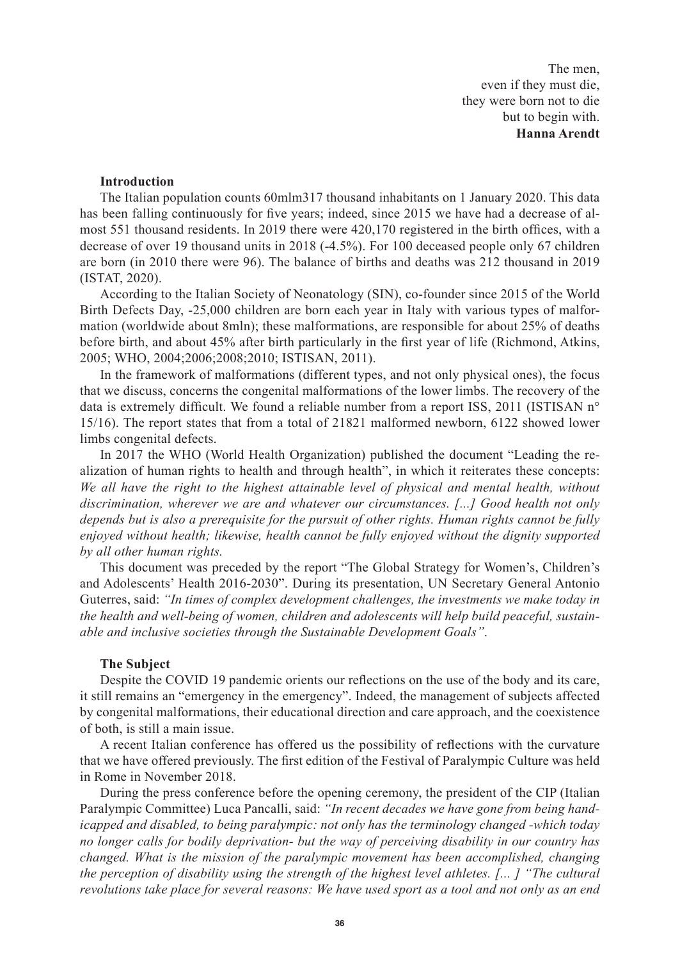The men, even if they must die, they were born not to die but to begin with. **Hanna Arendt** 

#### **Introduction**

The Italian population counts 60mlm317 thousand inhabitants on 1 January 2020. This data has been falling continuously for five years; indeed, since 2015 we have had a decrease of almost 551 thousand residents. In 2019 there were 420,170 registered in the birth offices, with a decrease of over 19 thousand units in 2018 (-4.5%). For 100 deceased people only 67 children are born (in 2010 there were 96). The balance of births and deaths was 212 thousand in 2019 (ISTAT, 2020).

According to the Italian Society of Neonatology (SIN), co-founder since 2015 of the World Birth Defects Day, -25,000 children are born each year in Italy with various types of malformation (worldwide about 8mln); these malformations, are responsible for about 25% of deaths before birth, and about 45% after birth particularly in the first year of life (Richmond, Atkins, 2005; WHO, 2004;2006;2008;2010; ISTISAN, 2011).

In the framework of malformations (different types, and not only physical ones), the focus that we discuss, concerns the congenital malformations of the lower limbs. The recovery of the data is extremely difficult. We found a reliable number from a report ISS, 2011 (ISTISAN n° 15/16). The report states that from a total of 21821 malformed newborn, 6122 showed lower limbs congenital defects.

In 2017 the WHO (World Health Organization) published the document "Leading the realization of human rights to health and through health", in which it reiterates these concepts: *We all have the right to the highest attainable level of physical and mental health, without discrimination, wherever we are and whatever our circumstances. [...] Good health not only depends but is also a prerequisite for the pursuit of other rights. Human rights cannot be fully enjoyed without health; likewise, health cannot be fully enjoyed without the dignity supported by all other human rights.*

This document was preceded by the report "The Global Strategy for Women's, Children's and Adolescents' Health 2016-2030". During its presentation, UN Secretary General Antonio Guterres, said: *"In times of complex development challenges, the investments we make today in the health and well-being of women, children and adolescents will help build peaceful, sustainable and inclusive societies through the Sustainable Development Goals"*.

#### **The Subject**

Despite the COVID 19 pandemic orients our reflections on the use of the body and its care, it still remains an "emergency in the emergency". Indeed, the management of subjects affected by congenital malformations, their educational direction and care approach, and the coexistence of both, is still a main issue.

A recent Italian conference has offered us the possibility of reflections with the curvature that we have offered previously. The first edition of the Festival of Paralympic Culture was held in Rome in November 2018.

During the press conference before the opening ceremony, the president of the CIP (Italian Paralympic Committee) Luca Pancalli, said: *"In recent decades we have gone from being handicapped and disabled, to being paralympic: not only has the terminology changed -which today no longer calls for bodily deprivation- but the way of perceiving disability in our country has changed. What is the mission of the paralympic movement has been accomplished, changing the perception of disability using the strength of the highest level athletes. [... ] "The cultural revolutions take place for several reasons: We have used sport as a tool and not only as an end*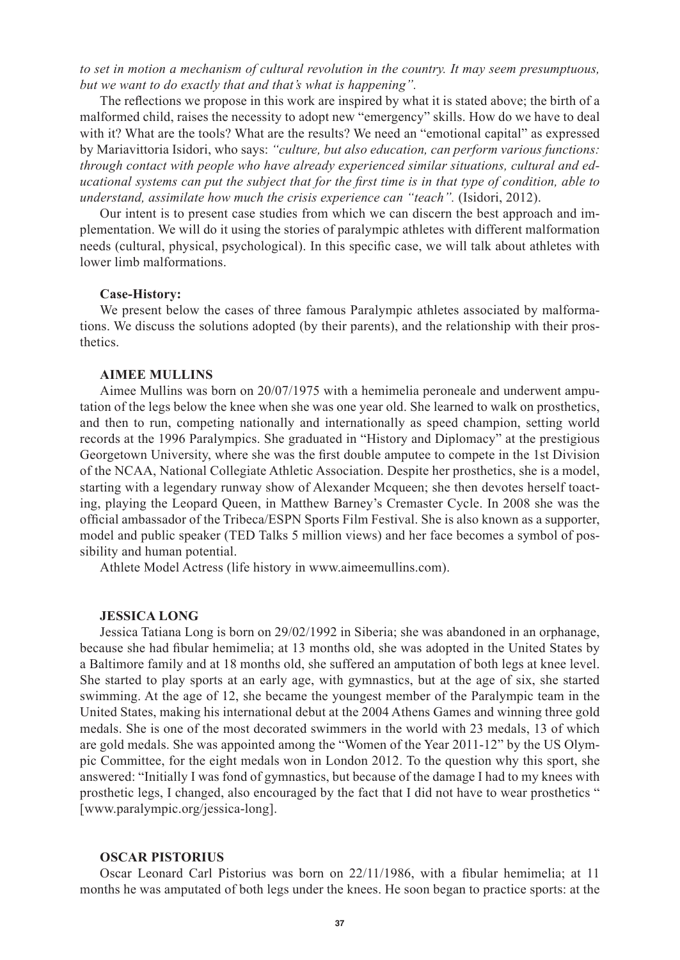*to set in motion a mechanism of cultural revolution in the country. It may seem presumptuous, but we want to do exactly that and that's what is happening".*

The reflections we propose in this work are inspired by what it is stated above; the birth of a malformed child, raises the necessity to adopt new "emergency" skills. How do we have to deal with it? What are the tools? What are the results? We need an "emotional capital" as expressed by Mariavittoria Isidori, who says: *"culture, but also education, can perform various functions: through contact with people who have already experienced similar situations, cultural and educational systems can put the subject that for the first time is in that type of condition, able to understand, assimilate how much the crisis experience can "teach".* (Isidori, 2012).

Our intent is to present case studies from which we can discern the best approach and implementation. We will do it using the stories of paralympic athletes with different malformation needs (cultural, physical, psychological). In this specific case, we will talk about athletes with lower limb malformations.

#### **Case-History:**

We present below the cases of three famous Paralympic athletes associated by malformations. We discuss the solutions adopted (by their parents), and the relationship with their prosthetics.

#### **AIMEE MULLINS**

Aimee Mullins was born on 20/07/1975 with a hemimelia peroneale and underwent amputation of the legs below the knee when she was one year old. She learned to walk on prosthetics, and then to run, competing nationally and internationally as speed champion, setting world records at the 1996 Paralympics. She graduated in "History and Diplomacy" at the prestigious Georgetown University, where she was the first double amputee to compete in the 1st Division of the NCAA, National Collegiate Athletic Association. Despite her prosthetics, she is a model, starting with a legendary runway show of Alexander Mcqueen; she then devotes herself toacting, playing the Leopard Queen, in Matthew Barney's Cremaster Cycle. In 2008 she was the official ambassador of the Tribeca/ESPN Sports Film Festival. She is also known as a supporter, model and public speaker (TED Talks 5 million views) and her face becomes a symbol of possibility and human potential.

Athlete Model Actress (life history in www.aimeemullins.com).

#### **JESSICA LONG**

Jessica Tatiana Long is born on 29/02/1992 in Siberia; she was abandoned in an orphanage, because she had fibular hemimelia; at 13 months old, she was adopted in the United States by a Baltimore family and at 18 months old, she suffered an amputation of both legs at knee level. She started to play sports at an early age, with gymnastics, but at the age of six, she started swimming. At the age of 12, she became the youngest member of the Paralympic team in the United States, making his international debut at the 2004 Athens Games and winning three gold medals. She is one of the most decorated swimmers in the world with 23 medals, 13 of which are gold medals. She was appointed among the "Women of the Year 2011-12" by the US Olympic Committee, for the eight medals won in London 2012. To the question why this sport, she answered: "Initially I was fond of gymnastics, but because of the damage I had to my knees with prosthetic legs, I changed, also encouraged by the fact that I did not have to wear prosthetics " [www.paralympic.org/jessica-long].

### **OSCAR PISTORIUS**

Oscar Leonard Carl Pistorius was born on 22/11/1986, with a fibular hemimelia; at 11 months he was amputated of both legs under the knees. He soon began to practice sports: at the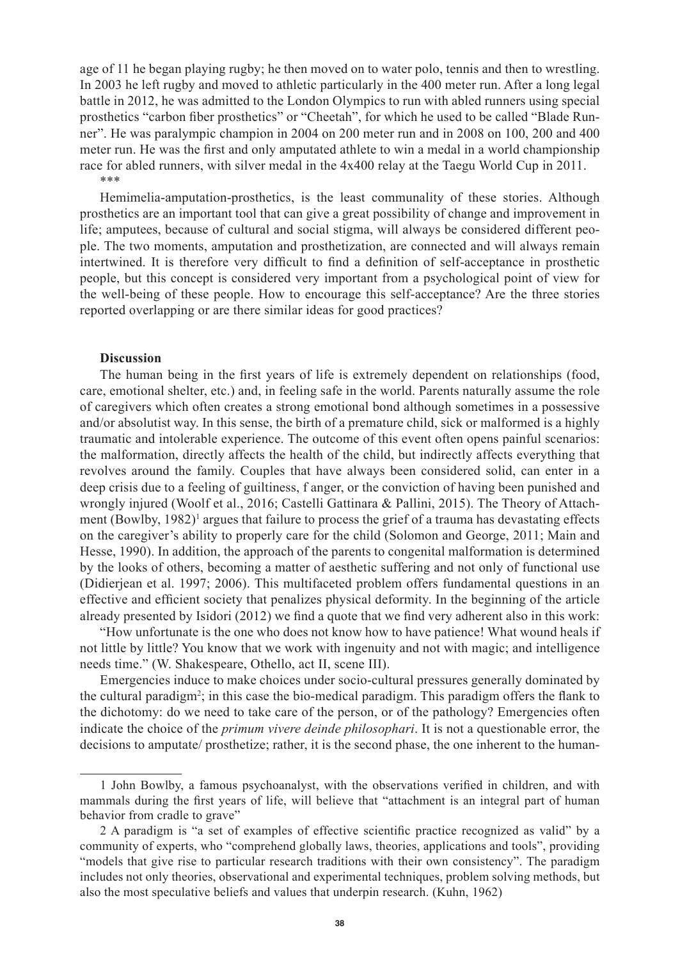age of 11 he began playing rugby; he then moved on to water polo, tennis and then to wrestling. In 2003 he left rugby and moved to athletic particularly in the 400 meter run. After a long legal battle in 2012, he was admitted to the London Olympics to run with abled runners using special prosthetics "carbon fiber prosthetics" or "Cheetah", for which he used to be called "Blade Runner". He was paralympic champion in 2004 on 200 meter run and in 2008 on 100, 200 and 400 meter run. He was the first and only amputated athlete to win a medal in a world championship race for abled runners, with silver medal in the 4x400 relay at the Taegu World Cup in 2011. \*\*\*

Hemimelia-amputation-prosthetics, is the least communality of these stories. Although prosthetics are an important tool that can give a great possibility of change and improvement in life; amputees, because of cultural and social stigma, will always be considered different people. The two moments, amputation and prosthetization, are connected and will always remain intertwined. It is therefore very difficult to find a definition of self-acceptance in prosthetic people, but this concept is considered very important from a psychological point of view for the well-being of these people. How to encourage this self-acceptance? Are the three stories reported overlapping or are there similar ideas for good practices?

#### **Discussion**

The human being in the first years of life is extremely dependent on relationships (food, care, emotional shelter, etc.) and, in feeling safe in the world. Parents naturally assume the role of caregivers which often creates a strong emotional bond although sometimes in a possessive and/or absolutist way. In this sense, the birth of a premature child, sick or malformed is a highly traumatic and intolerable experience. The outcome of this event often opens painful scenarios: the malformation, directly affects the health of the child, but indirectly affects everything that revolves around the family. Couples that have always been considered solid, can enter in a deep crisis due to a feeling of guiltiness, f anger, or the conviction of having been punished and wrongly injured (Woolf et al., 2016; Castelli Gattinara & Pallini, 2015). The Theory of Attachment (Bowlby, 1982)<sup>1</sup> argues that failure to process the grief of a trauma has devastating effects on the caregiver's ability to properly care for the child (Solomon and George, 2011; Main and Hesse, 1990). In addition, the approach of the parents to congenital malformation is determined by the looks of others, becoming a matter of aesthetic suffering and not only of functional use (Didierjean et al. 1997; 2006). This multifaceted problem offers fundamental questions in an effective and efficient society that penalizes physical deformity. In the beginning of the article already presented by Isidori (2012) we find a quote that we find very adherent also in this work:

"How unfortunate is the one who does not know how to have patience! What wound heals if not little by little? You know that we work with ingenuity and not with magic; and intelligence needs time." (W. Shakespeare, Othello, act II, scene III).

Emergencies induce to make choices under socio-cultural pressures generally dominated by the cultural paradigm<sup>2</sup>; in this case the bio-medical paradigm. This paradigm offers the flank to the dichotomy: do we need to take care of the person, or of the pathology? Emergencies often indicate the choice of the *primum vivere deinde philosophari*. It is not a questionable error, the decisions to amputate/ prosthetize; rather, it is the second phase, the one inherent to the human-

<sup>1</sup> John Bowlby, a famous psychoanalyst, with the observations verified in children, and with mammals during the first years of life, will believe that "attachment is an integral part of human behavior from cradle to grave"

<sup>2</sup> A paradigm is "a set of examples of effective scientific practice recognized as valid" by a community of experts, who "comprehend globally laws, theories, applications and tools", providing "models that give rise to particular research traditions with their own consistency". The paradigm includes not only theories, observational and experimental techniques, problem solving methods, but also the most speculative beliefs and values that underpin research. (Kuhn, 1962)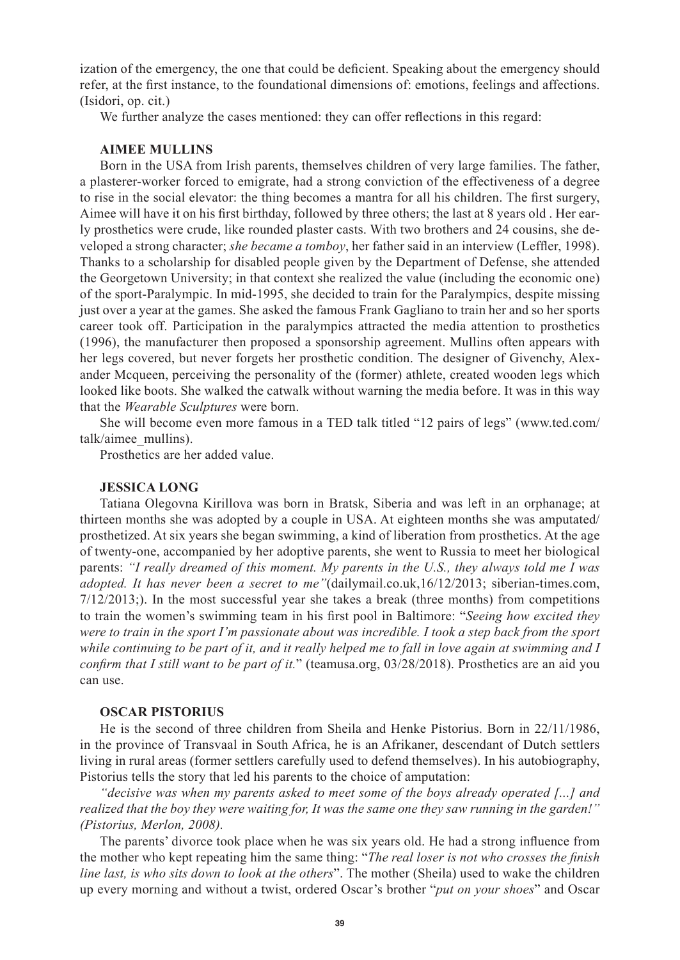ization of the emergency, the one that could be deficient. Speaking about the emergency should refer, at the first instance, to the foundational dimensions of: emotions, feelings and affections. (Isidori, op. cit.)

We further analyze the cases mentioned: they can offer reflections in this regard:

# **AIMEE MULLINS**

Born in the USA from Irish parents, themselves children of very large families. The father, a plasterer-worker forced to emigrate, had a strong conviction of the effectiveness of a degree to rise in the social elevator: the thing becomes a mantra for all his children. The first surgery, Aimee will have it on his first birthday, followed by three others; the last at 8 years old . Her early prosthetics were crude, like rounded plaster casts. With two brothers and 24 cousins, she developed a strong character; *she became a tomboy*, her father said in an interview (Leffler, 1998). Thanks to a scholarship for disabled people given by the Department of Defense, she attended the Georgetown University; in that context she realized the value (including the economic one) of the sport-Paralympic. In mid-1995, she decided to train for the Paralympics, despite missing just over a year at the games. She asked the famous Frank Gagliano to train her and so her sports career took off. Participation in the paralympics attracted the media attention to prosthetics (1996), the manufacturer then proposed a sponsorship agreement. Mullins often appears with her legs covered, but never forgets her prosthetic condition. The designer of Givenchy, Alexander Mcqueen, perceiving the personality of the (former) athlete, created wooden legs which looked like boots. She walked the catwalk without warning the media before. It was in this way that the *Wearable Sculptures* were born.

She will become even more famous in a TED talk titled "12 pairs of legs" (www.ted.com/ talk/aimee\_mullins).

Prosthetics are her added value.

#### **JESSICA LONG**

Tatiana Olegovna Kirillova was born in Bratsk, Siberia and was left in an orphanage; at thirteen months she was adopted by a couple in USA. At eighteen months she was amputated/ prosthetized. At six years she began swimming, a kind of liberation from prosthetics. At the age of twenty-one, accompanied by her adoptive parents, she went to Russia to meet her biological parents: *"I really dreamed of this moment. My parents in the U.S., they always told me I was adopted. It has never been a secret to me"*(dailymail.co.uk,16/12/2013; siberian-times.com,  $7/12/2013$ ;). In the most successful year she takes a break (three months) from competitions to train the women's swimming team in his first pool in Baltimore: "*Seeing how excited they were to train in the sport I'm passionate about was incredible. I took a step back from the sport while continuing to be part of it, and it really helped me to fall in love again at swimming and I confirm that I still want to be part of it.*" (teamusa.org, 03/28/2018). Prosthetics are an aid you can use.

#### **OSCAR PISTORIUS**

He is the second of three children from Sheila and Henke Pistorius. Born in 22/11/1986, in the province of Transvaal in South Africa, he is an Afrikaner, descendant of Dutch settlers living in rural areas (former settlers carefully used to defend themselves). In his autobiography, Pistorius tells the story that led his parents to the choice of amputation:

*"decisive was when my parents asked to meet some of the boys already operated [...] and realized that the boy they were waiting for, It was the same one they saw running in the garden!" (Pistorius, Merlon, 2008).*

The parents' divorce took place when he was six years old. He had a strong influence from the mother who kept repeating him the same thing: "*The real loser is not who crosses the finish line last, is who sits down to look at the others*". The mother (Sheila) used to wake the children up every morning and without a twist, ordered Oscar's brother "*put on your shoes*" and Oscar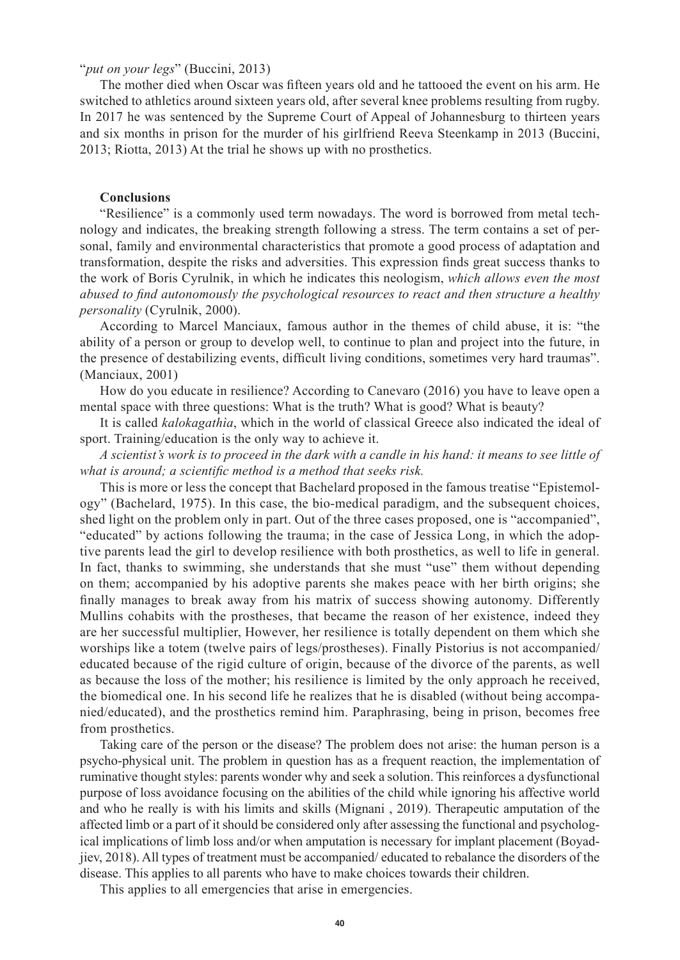### "*put on your legs*" (Buccini, 2013)

The mother died when Oscar was fifteen years old and he tattooed the event on his arm. He switched to athletics around sixteen years old, after several knee problems resulting from rugby. In 2017 he was sentenced by the Supreme Court of Appeal of Johannesburg to thirteen years and six months in prison for the murder of his girlfriend Reeva Steenkamp in 2013 (Buccini, 2013; Riotta, 2013) At the trial he shows up with no prosthetics.

## **Conclusions**

"Resilience" is a commonly used term nowadays. The word is borrowed from metal technology and indicates, the breaking strength following a stress. The term contains a set of personal, family and environmental characteristics that promote a good process of adaptation and transformation, despite the risks and adversities. This expression finds great success thanks to the work of Boris Cyrulnik, in which he indicates this neologism, *which allows even the most abused to find autonomously the psychological resources to react and then structure a healthy personality* (Cyrulnik, 2000).

According to Marcel Manciaux, famous author in the themes of child abuse, it is: "the ability of a person or group to develop well, to continue to plan and project into the future, in the presence of destabilizing events, difficult living conditions, sometimes very hard traumas". (Manciaux, 2001)

How do you educate in resilience? According to Canevaro (2016) you have to leave open a mental space with three questions: What is the truth? What is good? What is beauty?

It is called *kalokagathìa*, which in the world of classical Greece also indicated the ideal of sport. Training/education is the only way to achieve it.

*A scientist's work is to proceed in the dark with a candle in his hand: it means to see little of what is around; a scientific method is a method that seeks risk.* 

This is more or less the concept that Bachelard proposed in the famous treatise "Epistemology" (Bachelard, 1975). In this case, the bio-medical paradigm, and the subsequent choices, shed light on the problem only in part. Out of the three cases proposed, one is "accompanied", "educated" by actions following the trauma; in the case of Jessica Long, in which the adoptive parents lead the girl to develop resilience with both prosthetics, as well to life in general. In fact, thanks to swimming, she understands that she must "use" them without depending on them; accompanied by his adoptive parents she makes peace with her birth origins; she finally manages to break away from his matrix of success showing autonomy. Differently Mullins cohabits with the prostheses, that became the reason of her existence, indeed they are her successful multiplier, However, her resilience is totally dependent on them which she worships like a totem (twelve pairs of legs/prostheses). Finally Pistorius is not accompanied/ educated because of the rigid culture of origin, because of the divorce of the parents, as well as because the loss of the mother; his resilience is limited by the only approach he received, the biomedical one. In his second life he realizes that he is disabled (without being accompanied/educated), and the prosthetics remind him. Paraphrasing, being in prison, becomes free from prosthetics.

Taking care of the person or the disease? The problem does not arise: the human person is a psycho-physical unit. The problem in question has as a frequent reaction, the implementation of ruminative thought styles: parents wonder why and seek a solution. This reinforces a dysfunctional purpose of loss avoidance focusing on the abilities of the child while ignoring his affective world and who he really is with his limits and skills (Mignani , 2019). Therapeutic amputation of the affected limb or a part of it should be considered only after assessing the functional and psychological implications of limb loss and/or when amputation is necessary for implant placement (Boyadjiev, 2018). All types of treatment must be accompanied/ educated to rebalance the disorders of the disease. This applies to all parents who have to make choices towards their children.

This applies to all emergencies that arise in emergencies.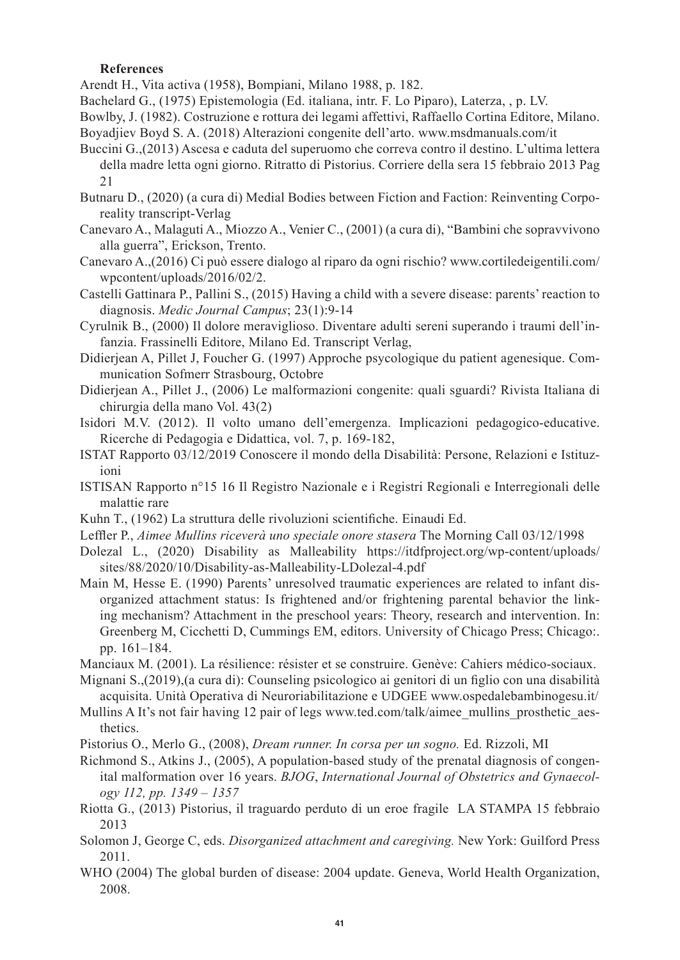## **References**

Arendt H., Vita activa (1958), Bompiani, Milano 1988, p. 182.

Bachelard G., (1975) Epistemologia (Ed. italiana, intr. F. Lo Piparo), Laterza, , p. LV.

- Bowlby, J. (1982). Costruzione e rottura dei legami affettivi, Raffaello Cortina Editore, Milano. Boyadjiev Boyd S. A. (2018) Alterazioni congenite dell'arto. www.msdmanuals.com/it
- Buccini G.,(2013) Ascesa e caduta del superuomo che correva contro il destino. L'ultima lettera della madre letta ogni giorno. Ritratto di Pistorius. Corriere della sera 15 febbraio 2013 Pag 21
- Butnaru D., (2020) (a cura di) Medial Bodies between Fiction and Faction: Reinventing Corporeality transcript-Verlag
- Canevaro A., Malaguti A., Miozzo A., Venier C., (2001) (a cura di), "Bambini che sopravvivono alla guerra", Erickson, Trento.
- Canevaro A.,(2016) Ci può essere dialogo al riparo da ogni rischio? www.cortiledeigentili.com/ wpcontent/uploads/2016/02/2.
- Castelli Gattinara P., Pallini S., (2015) Having a child with a severe disease: parents' reaction to diagnosis. *Medic Journal Campus*; 23(1):9-14
- Cyrulnik B., (2000) Il dolore meraviglioso. Diventare adulti sereni superando i traumi dell'infanzia. Frassinelli Editore, Milano Ed. Transcript Verlag,
- Didierjean A, Pillet J, Foucher G. (1997) Approche psycologique du patient agenesique. Communication Sofmerr Strasbourg, Octobre
- Didierjean A., Pillet J., (2006) Le malformazioni congenite: quali sguardi? Rivista Italiana di chirurgia della mano Vol. 43(2)
- Isidori M.V. (2012). Il volto umano dell'emergenza. Implicazioni pedagogico-educative. Ricerche di Pedagogia e Didattica, vol. 7, p. 169-182,
- ISTAT Rapporto 03/12/2019 Conoscere il mondo della Disabilità: Persone, Relazioni e Istituzioni
- ISTISAN Rapporto n°15 16 Il Registro Nazionale e i Registri Regionali e Interregionali delle malattie rare
- Kuhn T., (1962) La struttura delle rivoluzioni scientifiche. Einaudi Ed.
- Leffler P., *Aimee Mullins riceverà uno speciale onore stasera* The Morning Call 03/12/1998
- Dolezal L., (2020) Disability as Malleability https://itdfproject.org/wp-content/uploads/ sites/88/2020/10/Disability-as-Malleability-LDolezal-4.pdf
- Main M, Hesse E. (1990) Parents' unresolved traumatic experiences are related to infant disorganized attachment status: Is frightened and/or frightening parental behavior the linking mechanism? Attachment in the preschool years: Theory, research and intervention. In: Greenberg M, Cicchetti D, Cummings EM, editors. University of Chicago Press; Chicago:. pp. 161–184.
- Manciaux M. (2001). La résilience: résister et se construire. Genève: Cahiers médico-sociaux.
- Mignani S.,(2019),(a cura di): Counseling psicologico ai genitori di un figlio con una disabilità acquisita. Unità Operativa di Neuroriabilitazione e UDGEE www.ospedalebambinogesu.it/
- Mullins A It's not fair having 12 pair of legs www.ted.com/talk/aimee\_mullins\_prosthetic\_aes-thetics.
- Pistorius O., Merlo G., (2008), *Dream runner. In corsa per un sogno.* Ed. Rizzoli, MI
- Richmond S., Atkins J., (2005), A population-based study of the prenatal diagnosis of congenital malformation over 16 years. *BJOG*, *International Journal of Obstetrics and Gynaecology 112, pp. 1349 – 1357*
- Riotta G., (2013) Pistorius, il traguardo perduto di un eroe fragile LA STAMPA 15 febbraio 2013
- Solomon J, George C, eds. *Disorganized attachment and caregiving.* New York: Guilford Press 2011.
- WHO (2004) The global burden of disease: 2004 update. Geneva, World Health Organization, 2008.